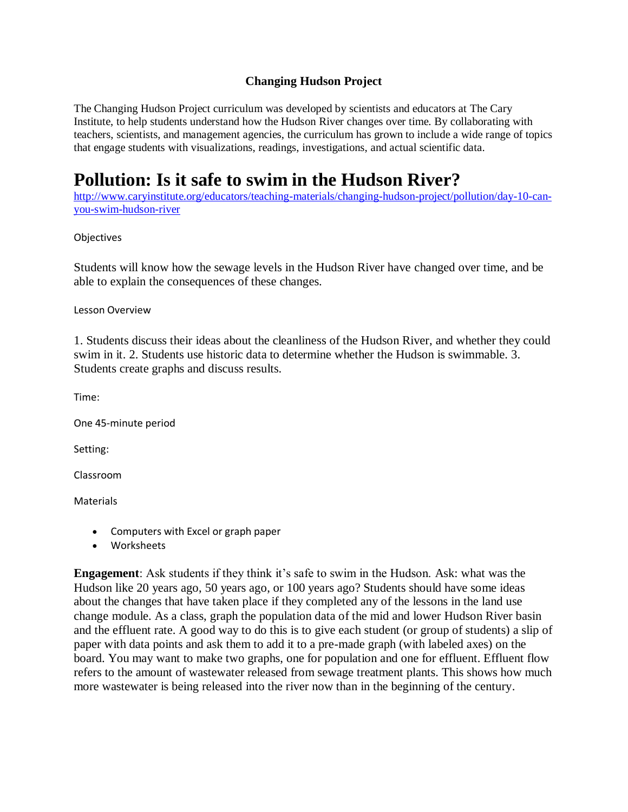## **Changing Hudson Project**

The Changing Hudson Project curriculum was developed by scientists and educators at The Cary Institute, to help students understand how the Hudson River changes over time. By collaborating with teachers, scientists, and management agencies, the curriculum has grown to include a wide range of topics that engage students with visualizations, readings, investigations, and actual scientific data.

# **Pollution: Is it safe to swim in the Hudson River?**

[http://www.caryinstitute.org/educators/teaching-materials/changing-hudson-project/pollution/day-10-can](http://www.caryinstitute.org/educators/teaching-materials/changing-hudson-project/pollution/day-10-can-you-swim-hudson-river)[you-swim-hudson-river](http://www.caryinstitute.org/educators/teaching-materials/changing-hudson-project/pollution/day-10-can-you-swim-hudson-river)

### **Objectives**

Students will know how the sewage levels in the Hudson River have changed over time, and be able to explain the consequences of these changes.

Lesson Overview

1. Students discuss their ideas about the cleanliness of the Hudson River, and whether they could swim in it. 2. Students use historic data to determine whether the Hudson is swimmable. 3. Students create graphs and discuss results.

Time:

One 45-minute period

Setting:

Classroom

**Materials** 

- Computers with Excel or graph paper
- Worksheets

**Engagement**: Ask students if they think it's safe to swim in the Hudson. Ask: what was the Hudson like 20 years ago, 50 years ago, or 100 years ago? Students should have some ideas about the changes that have taken place if they completed any of the lessons in the land use change module. As a class, graph the population data of the mid and lower Hudson River basin and the effluent rate. A good way to do this is to give each student (or group of students) a slip of paper with data points and ask them to add it to a pre-made graph (with labeled axes) on the board. You may want to make two graphs, one for population and one for effluent. Effluent flow refers to the amount of wastewater released from sewage treatment plants. This shows how much more wastewater is being released into the river now than in the beginning of the century.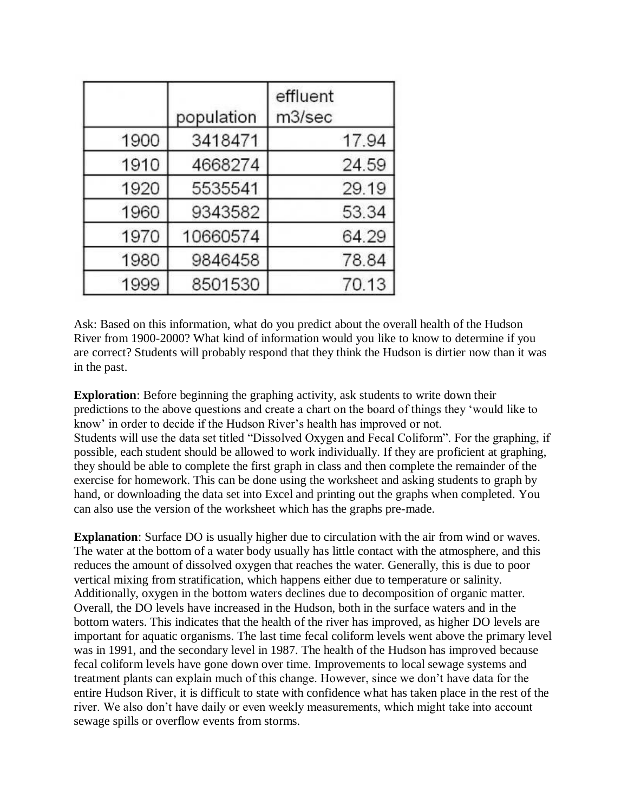|      | population | effluent<br>m3/sec |
|------|------------|--------------------|
| 1900 | 3418471    | 17.94              |
| 1910 | 4668274    | 24.59              |
| 1920 | 5535541    | 29.19              |
| 1960 | 9343582    | 53.34              |
| 1970 | 10660574   | 64.29              |
| 1980 | 9846458    | 78.84              |
| 1999 | 8501530    | 70.13              |

Ask: Based on this information, what do you predict about the overall health of the Hudson River from 1900-2000? What kind of information would you like to know to determine if you are correct? Students will probably respond that they think the Hudson is dirtier now than it was in the past.

**Exploration**: Before beginning the graphing activity, ask students to write down their predictions to the above questions and create a chart on the board of things they 'would like to know' in order to decide if the Hudson River's health has improved or not. Students will use the data set titled "Dissolved Oxygen and Fecal Coliform". For the graphing, if possible, each student should be allowed to work individually. If they are proficient at graphing, they should be able to complete the first graph in class and then complete the remainder of the exercise for homework. This can be done using the worksheet and asking students to graph by hand, or downloading the data set into Excel and printing out the graphs when completed. You can also use the version of the worksheet which has the graphs pre-made.

**Explanation**: Surface DO is usually higher due to circulation with the air from wind or waves. The water at the bottom of a water body usually has little contact with the atmosphere, and this reduces the amount of dissolved oxygen that reaches the water. Generally, this is due to poor vertical mixing from stratification, which happens either due to temperature or salinity. Additionally, oxygen in the bottom waters declines due to decomposition of organic matter. Overall, the DO levels have increased in the Hudson, both in the surface waters and in the bottom waters. This indicates that the health of the river has improved, as higher DO levels are important for aquatic organisms. The last time fecal coliform levels went above the primary level was in 1991, and the secondary level in 1987. The health of the Hudson has improved because fecal coliform levels have gone down over time. Improvements to local sewage systems and treatment plants can explain much of this change. However, since we don't have data for the entire Hudson River, it is difficult to state with confidence what has taken place in the rest of the river. We also don't have daily or even weekly measurements, which might take into account sewage spills or overflow events from storms.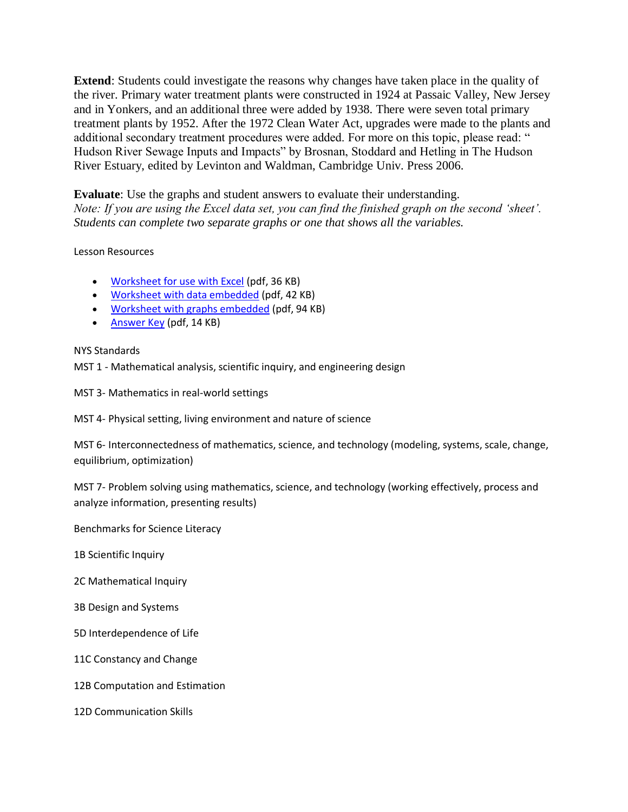**Extend**: Students could investigate the reasons why changes have taken place in the quality of the river. Primary water treatment plants were constructed in 1924 at Passaic Valley, New Jersey and in Yonkers, and an additional three were added by 1938. There were seven total primary treatment plants by 1952. After the 1972 Clean Water Act, upgrades were made to the plants and additional secondary treatment procedures were added. For more on this topic, please read: " Hudson River Sewage Inputs and Impacts" by Brosnan, Stoddard and Hetling in The Hudson River Estuary, edited by Levinton and Waldman, Cambridge Univ. Press 2006.

**Evaluate**: Use the graphs and student answers to evaluate their understanding. *Note: If you are using the Excel data set, you can find the finished graph on the second 'sheet'. Students can complete two separate graphs or one that shows all the variables.* 

#### Lesson Resources

- [Worksheet for use with Excel](http://www.caryinstitute.org/sites/default/files/public/downloads/lesson-plans/4C1_can_you_swim_worksheet.pdf) (pdf, 36 KB)
- [Worksheet with data embedded](http://www.caryinstitute.org/sites/default/files/public/downloads/lesson-plans/4C1_can_you_swim_worksheet_with_data.pdf) (pdf, 42 KB)
- [Worksheet with graphs embedded](http://www.caryinstitute.org/sites/default/files/public/downloads/lesson-plans/4C1_can_you_swim_worksheet_with_graphs.pdf) (pdf, 94 KB)
- [Answer Key](http://www.caryinstitute.org/sites/default/files/public/downloads/lesson-plans/4C1_can_you_swim_in_the_hudson_answer_key.pdf) (pdf, 14 KB)

#### NYS Standards

MST 1 - Mathematical analysis, scientific inquiry, and engineering design

MST 3- Mathematics in real-world settings

MST 4- Physical setting, living environment and nature of science

MST 6- Interconnectedness of mathematics, science, and technology (modeling, systems, scale, change, equilibrium, optimization)

MST 7- Problem solving using mathematics, science, and technology (working effectively, process and analyze information, presenting results)

Benchmarks for Science Literacy

1B Scientific Inquiry

2C Mathematical Inquiry

3B Design and Systems

5D Interdependence of Life

11C Constancy and Change

12B Computation and Estimation

12D Communication Skills